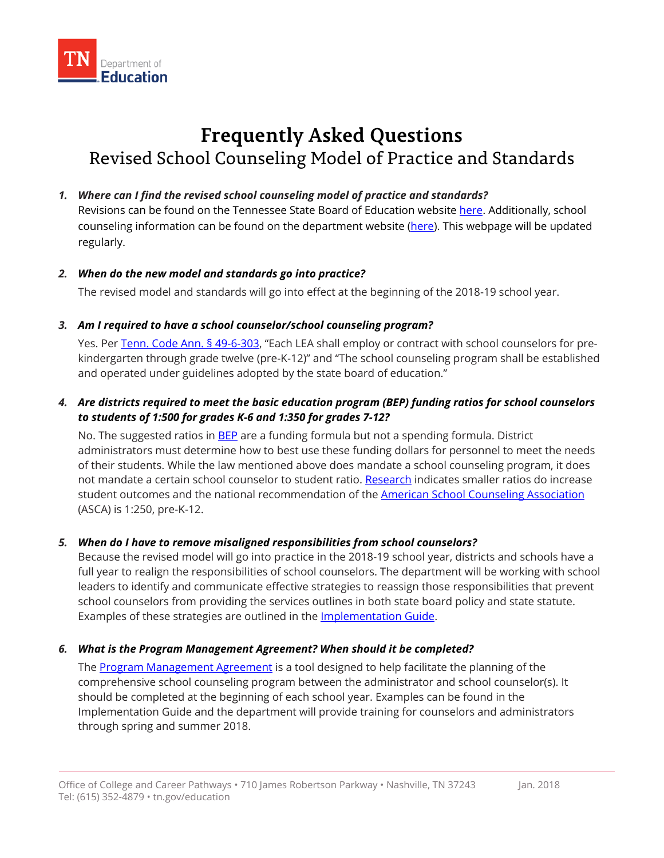

# **Frequently Asked Questions**  Revised School Counseling Model of Practice and Standards

## *1. Where can I find the revised school counseling model of practice and standards?*

Revisions can be found on the Tennessee State Board of Education website here. Additionally, school counseling information can be found on the department website (here). This webpage will be updated regularly.

## *2. When do the new model and standards go into practice?*

The revised model and standards will go into effect at the beginning of the 2018-19 school year.

## *3. Am I required to have a school counselor/school counseling program?*

Yes. Per Tenn. Code Ann. § 49-6-303, "Each LEA shall employ or contract with school counselors for prekindergarten through grade twelve (pre-K-12)" and "The school counseling program shall be established and operated under guidelines adopted by the state board of education."

# *4. Are districts required to meet the basic education program (BEP) funding ratios for school counselors to students of 1:500 for grades K-6 and 1:350 for grades 7-12?*

No. The suggested ratios in BEP are a funding formula but not a spending formula. District administrators must determine how to best use these funding dollars for personnel to meet the needs of their students. While the law mentioned above does mandate a school counseling program, it does not mandate a certain school counselor to student ratio. Research indicates smaller ratios do increase student outcomes and the national recommendation of the American School Counseling Association (ASCA) is 1:250, pre-K-12.

# *5. When do I have to remove misaligned responsibilities from school counselors?*

Because the revised model will go into practice in the 2018-19 school year, districts and schools have a full year to realign the responsibilities of school counselors. The department will be working with school leaders to identify and communicate effective strategies to reassign those responsibilities that prevent school counselors from providing the services outlines in both state board policy and state statute. Examples of these strategies are outlined in the **Implementation Guide**.

## *6. What is the Program Management Agreement? When should it be completed?*

through spring and summer 2018. The Program Management Agreement is a tool designed to help facilitate the planning of the comprehensive school counseling program between the administrator and school counselor(s). It should be completed at the beginning of each school year. Examples can be found in the Implementation Guide and the department will provide training for counselors and administrators